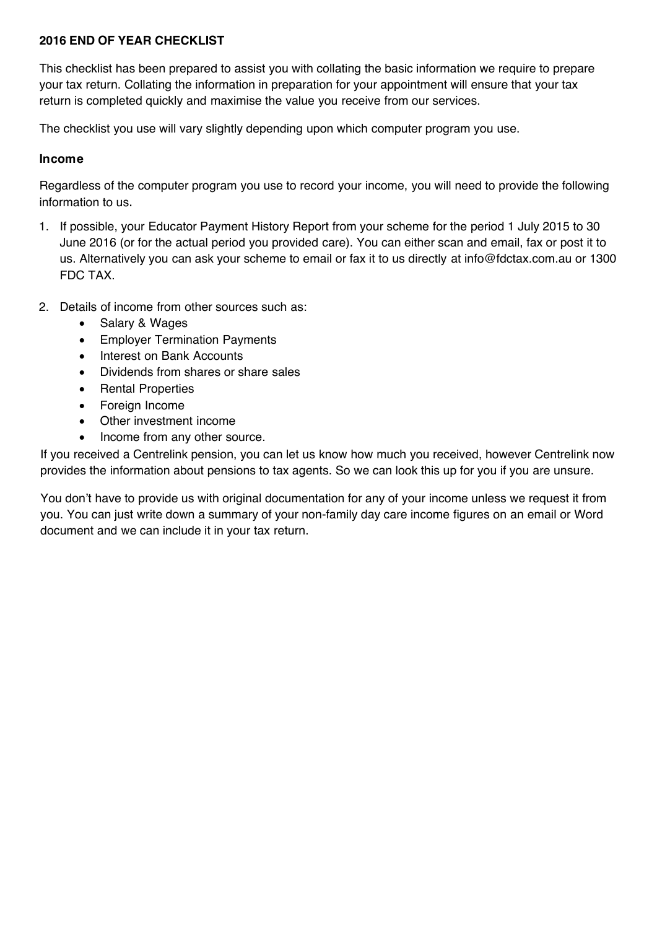# **2016 END OF YEAR CHECKLIST**

This checklist has been prepared to assist you with collating the basic information we require to prepare your tax return. Collating the information in preparation for your appointment will ensure that your tax return is completed quickly and maximise the value you receive from our services.

The checklist you use will vary slightly depending upon which computer program you use.

## **Income**

Regardless of the computer program you use to record your income, you will need to provide the following information to us.

- 1. If possible, your Educator Payment History Report from your scheme for the period 1 July 2015 to 30 June 2016 (or for the actual period you provided care). You can either scan and email, fax or post it to [us. Alternatively you can ask your s](mailto:at_info@childcareaccounting.net.au)cheme to email or fax it to us directly at info@fdctax[.com.au or](mailto:at_info@childcareaccounting.net.au) 1300 FDC TAX.
- 2. Details of income from other sources such as:
	- Salary & Wages
	- Employer Termination Payments
	- Interest on Bank Accounts
	- Dividends from shares or share sales
	- Rental Properties
	- Foreign Income
	- Other investment income
	- Income from any other source.

If you received a Centrelink pension, you can let us know how much you received, however Centrelink now provides the information about pensions to tax agents. So we can look this up for you if you are unsure.

You don't have to provide us with original documentation for any of your income unless we request it from you. You can just write down a summary of your non-family day care income figures on an email or Word document and we can include it in your tax return.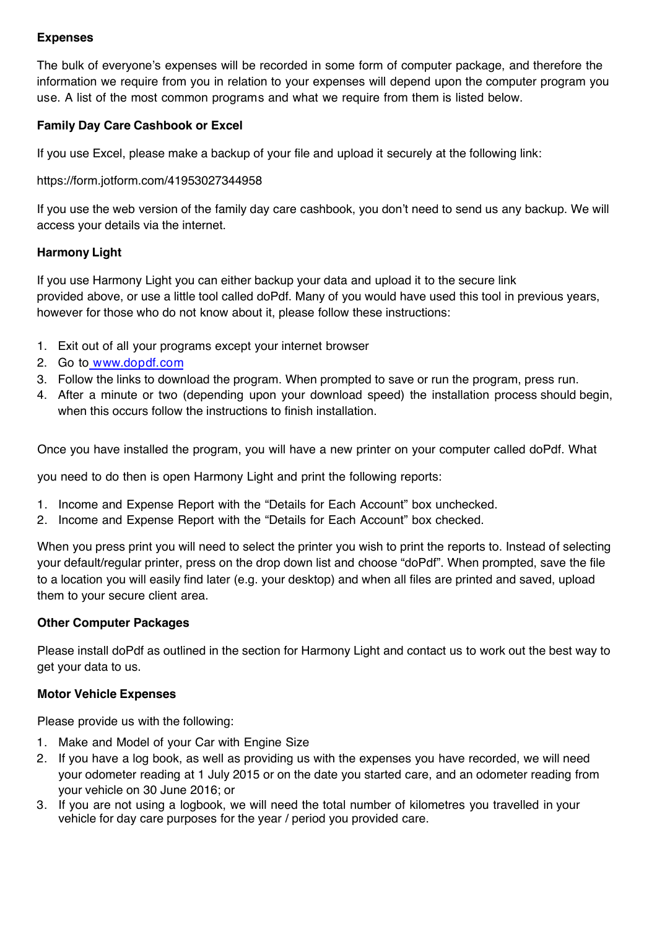# **Expenses**

The bulk of everyone's expenses will be recorded in some form of computer package, and therefore the information we require from you in relation to your expenses will depend upon the computer program you use. A list of the most common programs and what we require from them is listed below.

# **Family Day Care Cashbook or Excel**

If you use Excel, please make a backup of your file and upload it securely at the following link:

### [https://form.jotform.com/41953027344958](https://fdctaxau.sharefile.com/r-r010de7b549d45c8b)

If you use the web version of the family day care cashbook, you don't need to send us any backup. We will access your details via the internet.

## **Harmony Light**

If you use Harmony Light you can either backup your data and upload it to the secure link provided above, or use a little tool called doPdf. Many of you would have used this tool in previous years, however for those who do not know about it, please follow these instructions:

- 1. Exit out of all your programs except your internet browser
- 2. Go to www.[dopdf.com](http://www.dopdf.com/)
- 3. Follow the links to download the program. When prompted to save or run the program, press run.
- 4. After a minute or two (depending upon your download speed) the installation process should begin, when this occurs follow the instructions to finish installation.

Once you have installed the program, you will have a new printer on your computer called doPdf. What

you need to do then is open Harmony Light and print the following reports:

- 1. Income and Expense Report with the "Details for Each Account" box unchecked.
- 2. Income and Expense Report with the "Details for Each Account" box checked.

When you press print you will need to select the printer you wish to print the reports to. Instead of selecting your default/regular printer, press on the drop down list and choose "doPdf". When prompted, save the file to a location you will easily find later (e.g. your desktop) and when all files are printed and saved, upload them to your secure client area.

#### **Other Computer Packages**

Please install doPdf as outlined in the section for Harmony Light and contact us to work out the best way to get your data to us.

#### **Motor Vehicle Expenses**

Please provide us with the following:

- 1. Make and Model of your Car with Engine Size
- 2. If you have a log book, as well as providing us with the expenses you have recorded, we will need your odometer reading at 1 July 2015 or on the date you started care, and an odometer reading from your vehicle on 30 June 2016; or
- 3. If you are not using a logbook, we will need the total number of kilometres you travelled in your vehicle for day care purposes for the year / period you provided care.